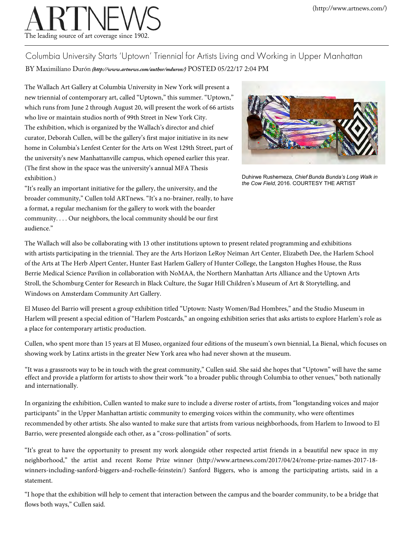

Columbia University Starts 'Uptown' Triennial for Artists Living and Working in Upper Manhattan Y Maximilíano Durón *(http://www.artnew.com/author/mduron/)* POSTD 05/22/17 2:04 PM

The Wallach Art Gallery at Columbia University in New York will present a new triennial of contemporary art, called "Uptown," this summer. "Uptown," which runs from June 2 through August 20, will present the work of 66 artists who live or maintain studios north of 99th Street in New York City. The exhibition, which is organized by the Wallach's director and chief curator, Deborah Cullen, will be the gallery's first major initiative in its new home in Columbia's Lenfest Center for the Arts on West 129th Street, part of the university's new Manhattanville campus, which opened earlier this year. (The first show in the space was the university's annual MFA Thesis exhibition.)



Duhirwe Rushemeza, Chief Bunda Bunda's Long Walk in the Cow Field, 2016. COURTESY THE ARTIST

"It's really an important initiative for the gallery, the university, and the broader community," Cullen told ARTnews. "It's a no-brainer, really, to have a format, a regular mechanism for the gallery to work with the boarder community. . . . Our neighbors, the local community should be our first audience."

The Wallach will also be collaborating with 13 other institutions uptown to present related programming and exhibitions with artists participating in the triennial. They are the Arts Horizon LeRoy Neiman Art Center, Elizabeth Dee, the Harlem School of the Arts at The Herb Alpert Center, Hunter East Harlem Gallery of Hunter College, the Langston Hughes House, the Russ Berrie Medical Science Pavilion in collaboration with NoMAA, the Northern Manhattan Arts Alliance and the Uptown Arts Stroll, the Schomburg Center for Research in Black Culture, the Sugar Hill Children's Museum of Art & Storytelling, and Windows on Amsterdam Community Art Gallery.

El Museo del Barrio will present a group exhibition titled "Uptown: Nasty Women/Bad Hombres," and the Studio Museum in Harlem will present a special edition of "Harlem Postcards," an ongoing exhibition series that asks artists to explore Harlem's role as a place for contemporary artistic production.

Cullen, who spent more than 15 years at El Museo, organized four editions of the museum's own biennial, La Bienal, which focuses on showing work by Latinx artists in the greater New York area who had never shown at the museum.

"It was a grassroots way to be in touch with the great community," Cullen said. She said she hopes that "Uptown" will have the same effect and provide a platform for artists to show their work "to a broader public through Columbia to other venues," both nationally and i[nternationally.](http://www.artnews.com/2017/04/24/rome-prize-names-2017-18-winners-including-sanford-biggers-and-rochelle-feinstein/)

In organizing the exhibition, Cullen wanted to make sure to include a diverse roster of artists, from "longstanding voices and major participants" in the Upper Manhattan artistic community to emerging voices within the community, who were oftentimes recommended by other artists. She also wanted to make sure that artists from various neighborhoods, from Harlem to Inwood to El Barrio, were presented alongside each other, as a "cross-pollination" of sorts.

"It's great to have the opportunity to present my work alongside other respected artist friends in a beautiful new space in my neighborhood," the artist and recent Rome Prize winner (http://www.artnews.com/2017/04/24/rome-prize-names-2017-18 winners-including-sanford-biggers-and-rochelle-feinstein/) Sanford Biggers, who is among the participating artists, said in a statement.

"I hope that the exhibition will help to cement that interaction between the campus and the boarder community, to be a bridge that flows both ways," Cullen said.